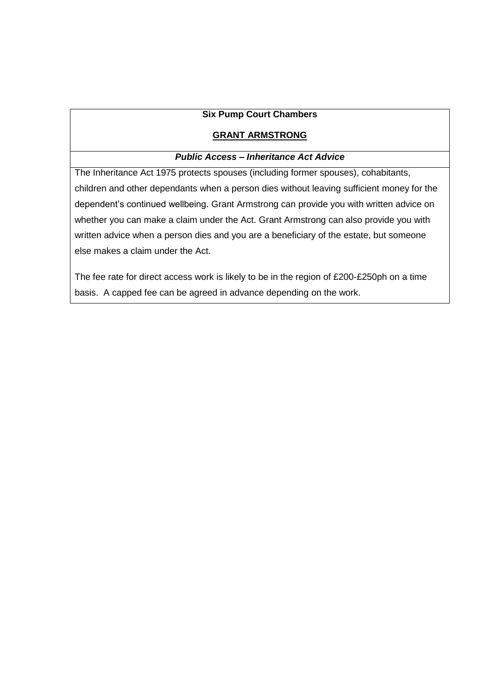#### **Six Pump Court Chambers**

## **GRANT ARMSTRONG**

# *Public Access – Inheritance Act Advice*

The Inheritance Act 1975 protects spouses (including former spouses), cohabitants, children and other dependants when a person dies without leaving sufficient money for the dependent's continued wellbeing. Grant Armstrong can provide you with written advice on whether you can make a claim under the Act. Grant Armstrong can also provide you with written advice when a person dies and you are a beneficiary of the estate, but someone else makes a claim under the Act.

The fee rate for direct access work is likely to be in the region of £200-£250ph on a time basis. A capped fee can be agreed in advance depending on the work.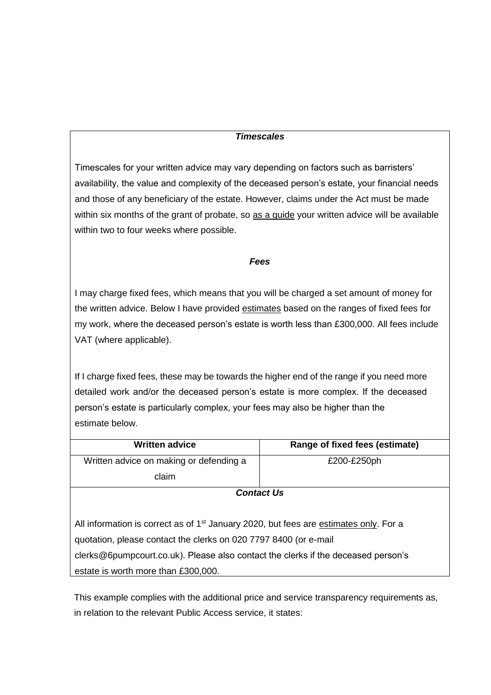## *Timescales*

Timescales for your written advice may vary depending on factors such as barristers' availability, the value and complexity of the deceased person's estate, your financial needs and those of any beneficiary of the estate. However, claims under the Act must be made within six months of the grant of probate, so as a guide your written advice will be available within two to four weeks where possible.

#### *Fees*

I may charge fixed fees, which means that you will be charged a set amount of money for the written advice. Below I have provided estimates based on the ranges of fixed fees for my work, where the deceased person's estate is worth less than £300,000. All fees include VAT (where applicable).

If I charge fixed fees, these may be towards the higher end of the range if you need more detailed work and/or the deceased person's estate is more complex. If the deceased person's estate is particularly complex, your fees may also be higher than the estimate below.

| <b>Written advice</b>                                                                             | Range of fixed fees (estimate) |  |
|---------------------------------------------------------------------------------------------------|--------------------------------|--|
| Written advice on making or defending a                                                           | £200-£250ph                    |  |
| claim                                                                                             |                                |  |
| <b>Contact Us</b>                                                                                 |                                |  |
|                                                                                                   |                                |  |
| All information is correct as of 1 <sup>st</sup> January 2020, but fees are estimates only. For a |                                |  |
| quotation, please contact the clerks on 020 7797 8400 (or e-mail                                  |                                |  |
| clerks@6pumpcourt.co.uk). Please also contact the clerks if the deceased person's                 |                                |  |
| estate is worth more than £300,000.                                                               |                                |  |

This example complies with the additional price and service transparency requirements as, in relation to the relevant Public Access service, it states: